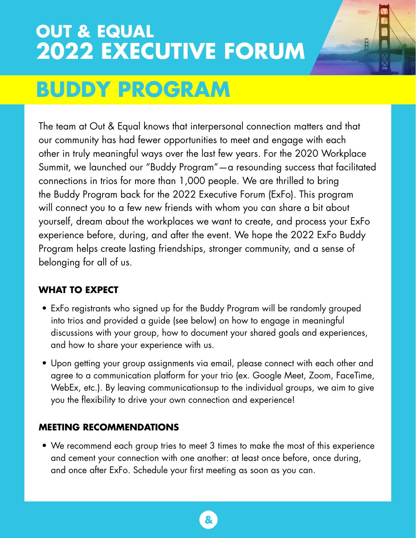# **OUT & EQUAL 2022 EXECUTIVE FORUM**



# **BUDDY PROGRAM**

The team at Out & Equal knows that interpersonal connection matters and that our community has had fewer opportunities to meet and engage with each other in truly meaningful ways over the last few years. For the 2020 Workplace Summit, we launched our "Buddy Program"—a resounding success that facilitated connections in trios for more than 1,000 people. We are thrilled to bring the Buddy Program back for the 2022 Executive Forum (ExFo). This program will connect you to a few new friends with whom you can share a bit about yourself, dream about the workplaces we want to create, and process your ExFo experience before, during, and after the event. We hope the 2022 ExFo Buddy Program helps create lasting friendships, stronger community, and a sense of belonging for all of us.

## **WHAT TO EXPECT**

- ExFo registrants who signed up for the Buddy Program will be randomly grouped into trios and provided a guide (see below) on how to engage in meaningful discussions with your group, how to document your shared goals and experiences, and how to share your experience with us.
- Upon getting your group assignments via email, please connect with each other and agree to a communication platform for your trio (ex. Google Meet, Zoom, FaceTime, WebEx, etc.). By leaving communicationsup to the individual groups, we aim to give you the flexibility to drive your own connection and experience!

## **MEETING RECOMMENDATIONS**

• We recommend each group tries to meet 3 times to make the most of this experience and cement your connection with one another: at least once before, once during, and once after ExFo. Schedule your first meeting as soon as you can.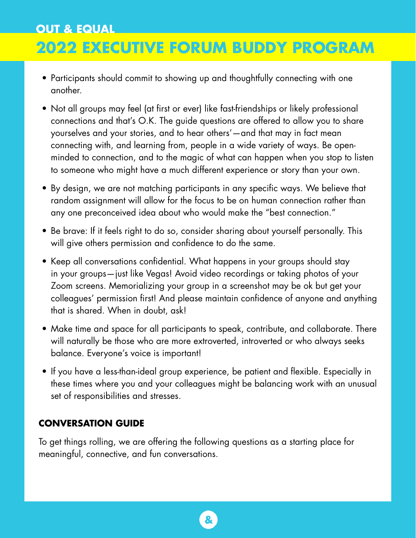# **OUT & EQUAL**

# **2022 EXECUTIVE FORUM BUDDY PROGRAM**

- Participants should commit to showing up and thoughtfully connecting with one another.
- Not all groups may feel (at first or ever) like fast-friendships or likely professional connections and that's O.K. The guide questions are offered to allow you to share yourselves and your stories, and to hear others'—and that may in fact mean connecting with, and learning from, people in a wide variety of ways. Be openminded to connection, and to the magic of what can happen when you stop to listen to someone who might have a much different experience or story than your own.
- By design, we are not matching participants in any specific ways. We believe that random assignment will allow for the focus to be on human connection rather than any one preconceived idea about who would make the "best connection."
- Be brave: If it feels right to do so, consider sharing about yourself personally. This will give others permission and confidence to do the same.
- Keep all conversations confidential. What happens in your groups should stay in your groups—just like Vegas! Avoid video recordings or taking photos of your Zoom screens. Memorializing your group in a screenshot may be ok but get your colleagues' permission first! And please maintain confidence of anyone and anything that is shared. When in doubt, ask!
- Make time and space for all participants to speak, contribute, and collaborate. There will naturally be those who are more extroverted, introverted or who always seeks balance. Everyone's voice is important!
- If you have a less-than-ideal group experience, be patient and flexible. Especially in these times where you and your colleagues might be balancing work with an unusual set of responsibilities and stresses.

#### **CONVERSATION GUIDE**

To get things rolling, we are offering the following questions as a starting place for meaningful, connective, and fun conversations.

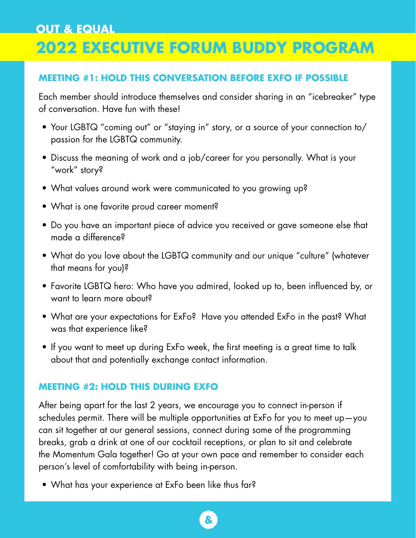# **OUT & EQUAL**

## **2022 EXECUTIVE FORUM BUDDY PROGRAM**

#### **MEETING #1: HOLD THIS CONVERSATION BEFORE EXFO IF POSSIBLE**

Each member should introduce themselves and consider sharing in an "icebreaker" type of conversation. Have fun with these!

- Your LGBTQ "coming out" or "staying in" story, or a source of your connection to/ passion for the LGBTQ community.
- Discuss the meaning of work and a job/career for you personally. What is your "work" story?
- What values around work were communicated to you growing up?
- What is one favorite proud career moment?
- Do you have an important piece of advice you received or gave someone else that made a difference?
- What do you love about the LGBTQ community and our unique "culture" (whatever that means for you)?
- Favorite LGBTQ hero: Who have you admired, looked up to, been influenced by, or want to learn more about?
- What are your expectations for ExFo? Have you attended ExFo in the past? What was that experience like?
- If you want to meet up during ExFo week, the first meeting is a great time to talk about that and potentially exchange contact information.

#### **MEETING #2: HOLD THIS DURING EXFO**

After being apart for the last 2 years, we encourage you to connect in-person if schedules permit. There will be multiple opportunities at ExFo for you to meet up—you can sit together at our general sessions, connect during some of the programming breaks, grab a drink at one of our cocktail receptions, or plan to sit and celebrate the Momentum Gala together! Go at your own pace and remember to consider each person's level of comfortability with being in-person.

• What has your experience at ExFo been like thus far?